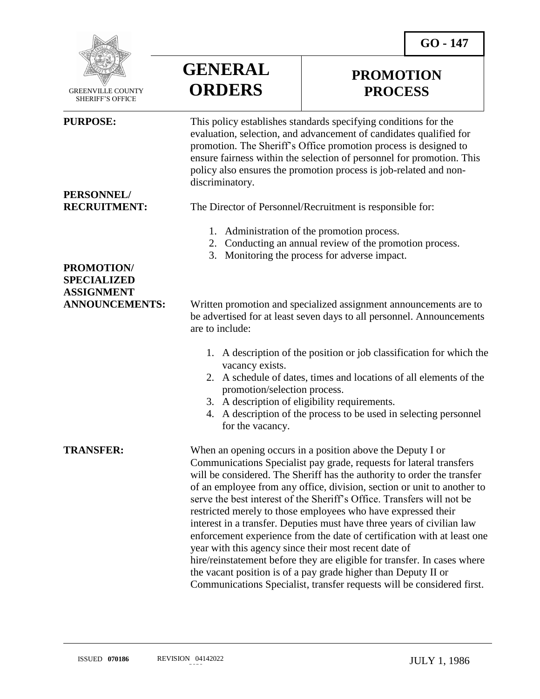**PROMOTION PROCESS**



 GREENVILLE COUNTY SHERIFF'S OFFICE

 $\overline{a}$ 

# **PERSONNEL/**

### **PROMOTION/ SPECIALIZED ASSIGNMENT**

## **GENERAL ORDERS**

**PURPOSE:** This policy establishes standards specifying conditions for the evaluation, selection, and advancement of candidates qualified for promotion. The Sheriff's Office promotion process is designed to ensure fairness within the selection of personnel for promotion. This policy also ensures the promotion process is job-related and nondiscriminatory.

**RECRUITMENT:** The Director of Personnel/Recruitment is responsible for:

- 1. Administration of the promotion process.
- 2. Conducting an annual review of the promotion process.
- 3. Monitoring the process for adverse impact.

**ANNOUNCEMENTS:** Written promotion and specialized assignment announcements are to be advertised for at least seven days to all personnel. Announcements are to include:

- 1. A description of the position or job classification for which the vacancy exists.
- 2. A schedule of dates, times and locations of all elements of the promotion/selection process.
- 3. A description of eligibility requirements.
- 4. A description of the process to be used in selecting personnel for the vacancy.

**TRANSFER:** When an opening occurs in a position above the Deputy I or Communications Specialist pay grade, requests for lateral transfers will be considered. The Sheriff has the authority to order the transfer of an employee from any office, division, section or unit to another to serve the best interest of the Sheriff's Office. Transfers will not be restricted merely to those employees who have expressed their interest in a transfer. Deputies must have three years of civilian law enforcement experience from the date of certification with at least one year with this agency since their most recent date of hire/reinstatement before they are eligible for transfer. In cases where the vacant position is of a pay grade higher than Deputy II or Communications Specialist, transfer requests will be considered first.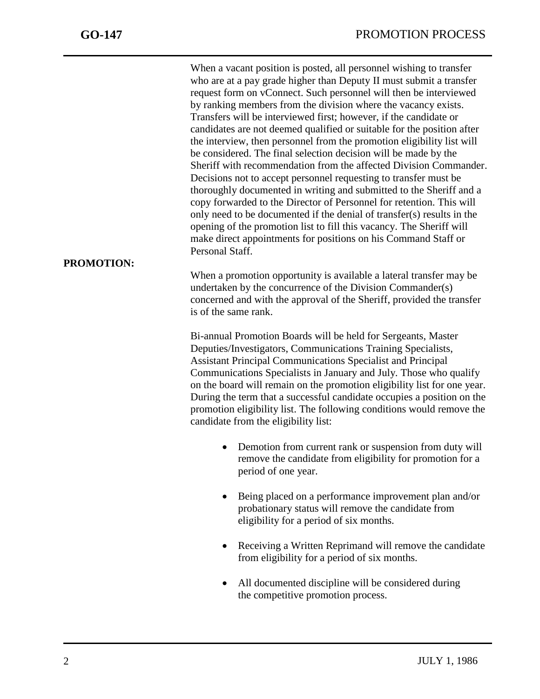When a vacant position is posted, all personnel wishing to transfer who are at a pay grade higher than Deputy II must submit a transfer request form on vConnect. Such personnel will then be interviewed by ranking members from the division where the vacancy exists. Transfers will be interviewed first; however, if the candidate or candidates are not deemed qualified or suitable for the position after the interview, then personnel from the promotion eligibility list will be considered. The final selection decision will be made by the Sheriff with recommendation from the affected Division Commander. Decisions not to accept personnel requesting to transfer must be thoroughly documented in writing and submitted to the Sheriff and a copy forwarded to the Director of Personnel for retention. This will only need to be documented if the denial of transfer(s) results in the opening of the promotion list to fill this vacancy. The Sheriff will make direct appointments for positions on his Command Staff or Personal Staff.

When a promotion opportunity is available a lateral transfer may be undertaken by the concurrence of the Division Commander(s) concerned and with the approval of the Sheriff, provided the transfer is of the same rank.

Bi-annual Promotion Boards will be held for Sergeants, Master Deputies/Investigators, Communications Training Specialists, Assistant Principal Communications Specialist and Principal Communications Specialists in January and July. Those who qualify on the board will remain on the promotion eligibility list for one year. During the term that a successful candidate occupies a position on the promotion eligibility list. The following conditions would remove the candidate from the eligibility list:

- Demotion from current rank or suspension from duty will remove the candidate from eligibility for promotion for a period of one year.
- Being placed on a performance improvement plan and/or probationary status will remove the candidate from eligibility for a period of six months.
- Receiving a Written Reprimand will remove the candidate from eligibility for a period of six months.
- All documented discipline will be considered during the competitive promotion process.

### **PROMOTION:**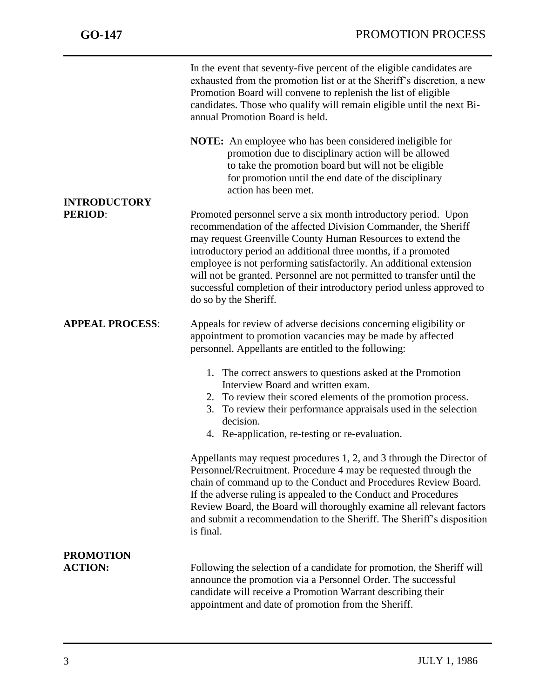|                                       | In the event that seventy-five percent of the eligible candidates are<br>exhausted from the promotion list or at the Sheriff's discretion, a new<br>Promotion Board will convene to replenish the list of eligible<br>candidates. Those who qualify will remain eligible until the next Bi-<br>annual Promotion Board is held.                                                                                                                                                                                     |  |  |
|---------------------------------------|--------------------------------------------------------------------------------------------------------------------------------------------------------------------------------------------------------------------------------------------------------------------------------------------------------------------------------------------------------------------------------------------------------------------------------------------------------------------------------------------------------------------|--|--|
|                                       | <b>NOTE:</b> An employee who has been considered ineligible for<br>promotion due to disciplinary action will be allowed<br>to take the promotion board but will not be eligible<br>for promotion until the end date of the disciplinary<br>action has been met.                                                                                                                                                                                                                                                    |  |  |
| <b>INTRODUCTORY</b><br><b>PERIOD:</b> | Promoted personnel serve a six month introductory period. Upon<br>recommendation of the affected Division Commander, the Sheriff<br>may request Greenville County Human Resources to extend the<br>introductory period an additional three months, if a promoted<br>employee is not performing satisfactorily. An additional extension<br>will not be granted. Personnel are not permitted to transfer until the<br>successful completion of their introductory period unless approved to<br>do so by the Sheriff. |  |  |
| <b>APPEAL PROCESS:</b>                | Appeals for review of adverse decisions concerning eligibility or<br>appointment to promotion vacancies may be made by affected<br>personnel. Appellants are entitled to the following:<br>1. The correct answers to questions asked at the Promotion<br>Interview Board and written exam.<br>2. To review their scored elements of the promotion process.<br>To review their performance appraisals used in the selection<br>3.                                                                                   |  |  |
|                                       | decision.<br>4. Re-application, re-testing or re-evaluation.                                                                                                                                                                                                                                                                                                                                                                                                                                                       |  |  |
|                                       | Appellants may request procedures 1, 2, and 3 through the Director of<br>Personnel/Recruitment. Procedure 4 may be requested through the<br>chain of command up to the Conduct and Procedures Review Board.<br>If the adverse ruling is appealed to the Conduct and Procedures<br>Review Board, the Board will thoroughly examine all relevant factors<br>and submit a recommendation to the Sheriff. The Sheriff's disposition<br>is final.                                                                       |  |  |
| <b>PROMOTION</b><br><b>ACTION:</b>    | Following the selection of a candidate for promotion, the Sheriff will<br>announce the promotion via a Personnel Order. The successful<br>candidate will receive a Promotion Warrant describing their<br>appointment and date of promotion from the Sheriff.                                                                                                                                                                                                                                                       |  |  |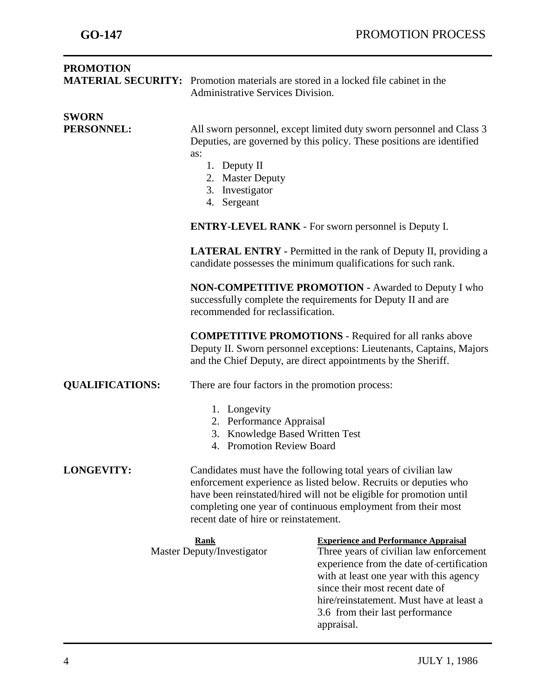| <b>PROMOTION</b>                          | <b>MATERIAL SECURITY:</b> Promotion materials are stored in a locked file cabinet in the<br>Administrative Services Division.                                                                                                                                                                                      |                                                                                                                                                                                                                                                                                                                |  |
|-------------------------------------------|--------------------------------------------------------------------------------------------------------------------------------------------------------------------------------------------------------------------------------------------------------------------------------------------------------------------|----------------------------------------------------------------------------------------------------------------------------------------------------------------------------------------------------------------------------------------------------------------------------------------------------------------|--|
| <b>SWORN</b><br>PERSONNEL:                | All sworn personnel, except limited duty sworn personnel and Class 3<br>Deputies, are governed by this policy. These positions are identified<br>as:<br>1. Deputy II<br>2. Master Deputy<br>3. Investigator<br>4. Sergeant                                                                                         |                                                                                                                                                                                                                                                                                                                |  |
|                                           | <b>ENTRY-LEVEL RANK - For sworn personnel is Deputy I.</b>                                                                                                                                                                                                                                                         |                                                                                                                                                                                                                                                                                                                |  |
|                                           | <b>LATERAL ENTRY</b> - Permitted in the rank of Deputy II, providing a<br>candidate possesses the minimum qualifications for such rank.                                                                                                                                                                            |                                                                                                                                                                                                                                                                                                                |  |
|                                           | <b>NON-COMPETITIVE PROMOTION - Awarded to Deputy I who</b><br>successfully complete the requirements for Deputy II and are<br>recommended for reclassification.                                                                                                                                                    |                                                                                                                                                                                                                                                                                                                |  |
|                                           | <b>COMPETITIVE PROMOTIONS - Required for all ranks above</b><br>Deputy II. Sworn personnel exceptions: Lieutenants, Captains, Majors<br>and the Chief Deputy, are direct appointments by the Sheriff.                                                                                                              |                                                                                                                                                                                                                                                                                                                |  |
| <b>QUALIFICATIONS:</b>                    | There are four factors in the promotion process:                                                                                                                                                                                                                                                                   |                                                                                                                                                                                                                                                                                                                |  |
|                                           | 1. Longevity<br>2. Performance Appraisal<br>3. Knowledge Based Written Test<br><b>Promotion Review Board</b><br>4.                                                                                                                                                                                                 |                                                                                                                                                                                                                                                                                                                |  |
| <b>LONGEVITY:</b>                         | Candidates must have the following total years of civilian law<br>enforcement experience as listed below. Recruits or deputies who<br>have been reinstated/hired will not be eligible for promotion until<br>completing one year of continuous employment from their most<br>recent date of hire or reinstatement. |                                                                                                                                                                                                                                                                                                                |  |
| <u>Rank</u><br>Master Deputy/Investigator |                                                                                                                                                                                                                                                                                                                    | <b>Experience and Performance Appraisal</b><br>Three years of civilian law enforcement<br>experience from the date of certification<br>with at least one year with this agency<br>since their most recent date of<br>hire/reinstatement. Must have at least a<br>3.6 from their last performance<br>appraisal. |  |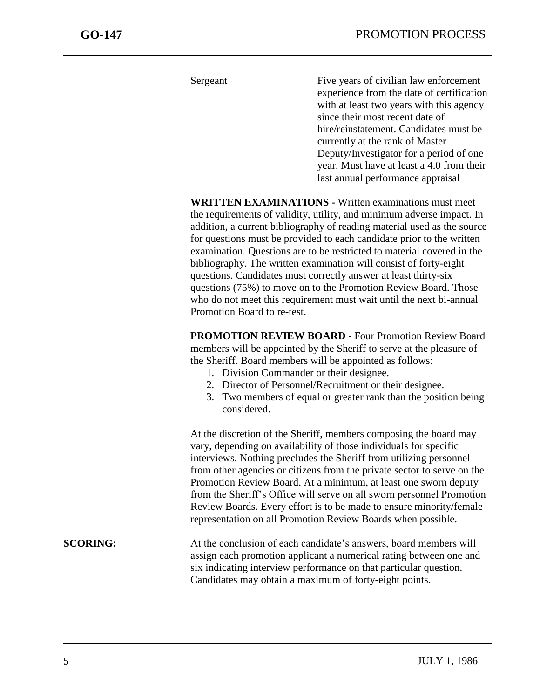Sergeant Five years of civilian law enforcement experience from the date of certification with at least two years with this agency since their most recent date of hire/reinstatement. Candidates must be currently at the rank of Master Deputy/Investigator for a period of one year. Must have at least a 4.0 from their last annual performance appraisal

**WRITTEN EXAMINATIONS -** Written examinations must meet the requirements of validity, utility, and minimum adverse impact. In addition, a current bibliography of reading material used as the source for questions must be provided to each candidate prior to the written examination. Questions are to be restricted to material covered in the bibliography. The written examination will consist of forty-eight questions. Candidates must correctly answer at least thirty-six questions (75%) to move on to the Promotion Review Board. Those who do not meet this requirement must wait until the next bi-annual Promotion Board to re-test.

**PROMOTION REVIEW BOARD -** Four Promotion Review Board members will be appointed by the Sheriff to serve at the pleasure of the Sheriff. Board members will be appointed as follows:

- 1. Division Commander or their designee.
- 2. Director of Personnel/Recruitment or their designee.
- 3. Two members of equal or greater rank than the position being considered.

At the discretion of the Sheriff, members composing the board may vary, depending on availability of those individuals for specific interviews. Nothing precludes the Sheriff from utilizing personnel from other agencies or citizens from the private sector to serve on the Promotion Review Board. At a minimum, at least one sworn deputy from the Sheriff's Office will serve on all sworn personnel Promotion Review Boards. Every effort is to be made to ensure minority/female representation on all Promotion Review Boards when possible.

**SCORING:** At the conclusion of each candidate's answers, board members will assign each promotion applicant a numerical rating between one and six indicating interview performance on that particular question. Candidates may obtain a maximum of forty-eight points.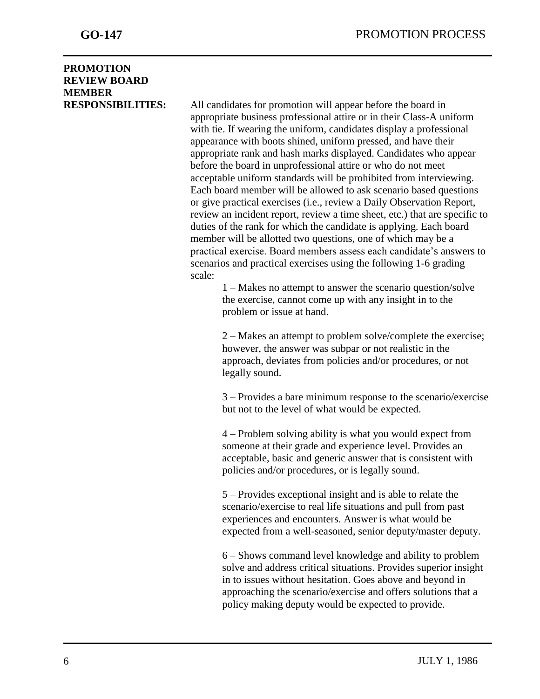### **PROMOTION REVIEW BOARD MEMBER**

**RESPONSIBILITIES:** All candidates for promotion will appear before the board in appropriate business professional attire or in their Class-A uniform with tie. If wearing the uniform, candidates display a professional appearance with boots shined, uniform pressed, and have their appropriate rank and hash marks displayed. Candidates who appear before the board in unprofessional attire or who do not meet acceptable uniform standards will be prohibited from interviewing. Each board member will be allowed to ask scenario based questions or give practical exercises (i.e., review a Daily Observation Report, review an incident report, review a time sheet, etc.) that are specific to duties of the rank for which the candidate is applying. Each board member will be allotted two questions, one of which may be a practical exercise. Board members assess each candidate's answers to scenarios and practical exercises using the following 1-6 grading scale:

> 1 – Makes no attempt to answer the scenario question/solve the exercise, cannot come up with any insight in to the problem or issue at hand.

2 – Makes an attempt to problem solve/complete the exercise; however, the answer was subpar or not realistic in the approach, deviates from policies and/or procedures, or not legally sound.

3 – Provides a bare minimum response to the scenario/exercise but not to the level of what would be expected.

4 – Problem solving ability is what you would expect from someone at their grade and experience level. Provides an acceptable, basic and generic answer that is consistent with policies and/or procedures, or is legally sound.

5 – Provides exceptional insight and is able to relate the scenario/exercise to real life situations and pull from past experiences and encounters. Answer is what would be expected from a well-seasoned, senior deputy/master deputy.

6 – Shows command level knowledge and ability to problem solve and address critical situations. Provides superior insight in to issues without hesitation. Goes above and beyond in approaching the scenario/exercise and offers solutions that a policy making deputy would be expected to provide.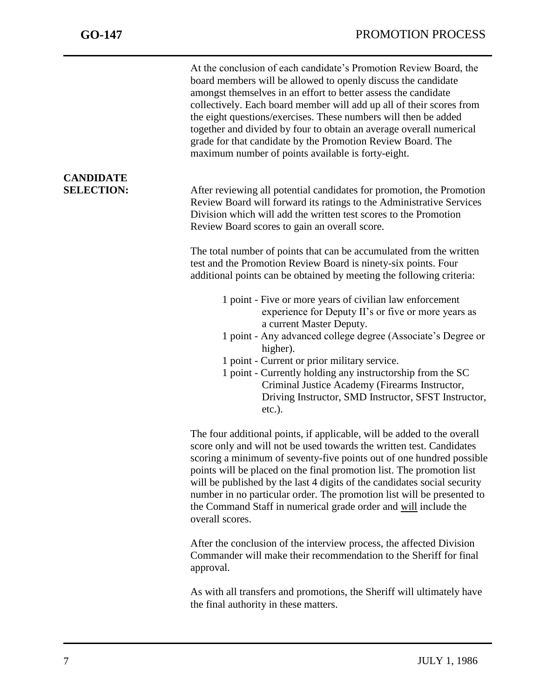**CANDIDATE** 

**SELECTION:** After reviewing all potential candidates for promotion, the Promotion Review Board will forward its ratings to the Administrative Services Division which will add the written test scores to the Promotion Review Board scores to gain an overall score.

> The total number of points that can be accumulated from the written test and the Promotion Review Board is ninety-six points. Four additional points can be obtained by meeting the following criteria:

- 1 point Five or more years of civilian law enforcement experience for Deputy II's or five or more years as a current Master Deputy.
- 1 point Any advanced college degree (Associate's Degree or higher).
- 1 point Current or prior military service.
- 1 point Currently holding any instructorship from the SC Criminal Justice Academy (Firearms Instructor, Driving Instructor, SMD Instructor, SFST Instructor, etc.).

The four additional points, if applicable, will be added to the overall score only and will not be used towards the written test. Candidates scoring a minimum of seventy-five points out of one hundred possible points will be placed on the final promotion list. The promotion list will be published by the last 4 digits of the candidates social security number in no particular order. The promotion list will be presented to the Command Staff in numerical grade order and will include the overall scores.

After the conclusion of the interview process, the affected Division Commander will make their recommendation to the Sheriff for final approval.

As with all transfers and promotions, the Sheriff will ultimately have the final authority in these matters.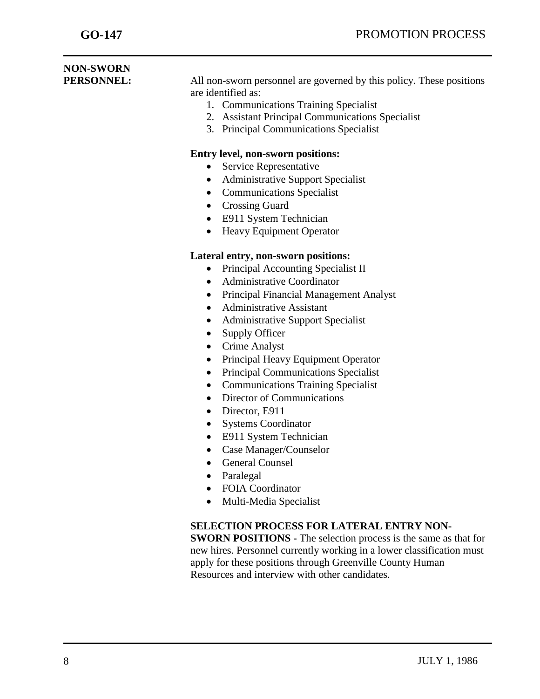| <b>NON-SWORN</b><br>PERSONNEL: | All non-sworn personnel are governed by this policy. These positions<br>are identified as:<br>1. Communications Training Specialist<br>2. Assistant Principal Communications Specialist<br><b>Principal Communications Specialist</b><br>3.<br><b>Entry level, non-sworn positions:</b><br>Service Representative<br>$\bullet$<br><b>Administrative Support Specialist</b><br>$\bullet$<br><b>Communications Specialist</b><br>$\bullet$<br><b>Crossing Guard</b><br>E911 System Technician<br><b>Heavy Equipment Operator</b><br>$\bullet$<br>Lateral entry, non-sworn positions:<br>Principal Accounting Specialist II<br><b>Administrative Coordinator</b><br>$\bullet$<br>Principal Financial Management Analyst<br>$\bullet$<br><b>Administrative Assistant</b><br>$\bullet$<br><b>Administrative Support Specialist</b><br>$\bullet$<br>Supply Officer<br>$\bullet$<br>Crime Analyst<br>Principal Heavy Equipment Operator<br><b>Principal Communications Specialist</b><br><b>Communications Training Specialist</b><br>$\bullet$<br>Director of Communications<br>$\bullet$<br>Director, E911<br>$\bullet$<br><b>Systems Coordinator</b><br>E911 System Technician<br>Case Manager/Counselor<br><b>General Counsel</b><br>Paralegal<br>$\bullet$<br><b>FOIA Coordinator</b><br>Multi-Media Specialist<br>$\bullet$ |  |  |  |
|--------------------------------|----------------------------------------------------------------------------------------------------------------------------------------------------------------------------------------------------------------------------------------------------------------------------------------------------------------------------------------------------------------------------------------------------------------------------------------------------------------------------------------------------------------------------------------------------------------------------------------------------------------------------------------------------------------------------------------------------------------------------------------------------------------------------------------------------------------------------------------------------------------------------------------------------------------------------------------------------------------------------------------------------------------------------------------------------------------------------------------------------------------------------------------------------------------------------------------------------------------------------------------------------------------------------------------------------------------------------|--|--|--|
|                                |                                                                                                                                                                                                                                                                                                                                                                                                                                                                                                                                                                                                                                                                                                                                                                                                                                                                                                                                                                                                                                                                                                                                                                                                                                                                                                                            |  |  |  |
|                                |                                                                                                                                                                                                                                                                                                                                                                                                                                                                                                                                                                                                                                                                                                                                                                                                                                                                                                                                                                                                                                                                                                                                                                                                                                                                                                                            |  |  |  |
|                                |                                                                                                                                                                                                                                                                                                                                                                                                                                                                                                                                                                                                                                                                                                                                                                                                                                                                                                                                                                                                                                                                                                                                                                                                                                                                                                                            |  |  |  |
|                                |                                                                                                                                                                                                                                                                                                                                                                                                                                                                                                                                                                                                                                                                                                                                                                                                                                                                                                                                                                                                                                                                                                                                                                                                                                                                                                                            |  |  |  |
|                                |                                                                                                                                                                                                                                                                                                                                                                                                                                                                                                                                                                                                                                                                                                                                                                                                                                                                                                                                                                                                                                                                                                                                                                                                                                                                                                                            |  |  |  |
|                                |                                                                                                                                                                                                                                                                                                                                                                                                                                                                                                                                                                                                                                                                                                                                                                                                                                                                                                                                                                                                                                                                                                                                                                                                                                                                                                                            |  |  |  |
|                                |                                                                                                                                                                                                                                                                                                                                                                                                                                                                                                                                                                                                                                                                                                                                                                                                                                                                                                                                                                                                                                                                                                                                                                                                                                                                                                                            |  |  |  |
|                                | <b>SELECTION PROCESS FOR LATERAL ENTRY NON-</b><br><b>SWORN POSITIONS - The selection process is the same as that for</b><br>new hires. Personnel currently working in a lower classification must<br>apply for these positions through Greenville County Human<br>Resources and interview with other candidates.                                                                                                                                                                                                                                                                                                                                                                                                                                                                                                                                                                                                                                                                                                                                                                                                                                                                                                                                                                                                          |  |  |  |
|                                |                                                                                                                                                                                                                                                                                                                                                                                                                                                                                                                                                                                                                                                                                                                                                                                                                                                                                                                                                                                                                                                                                                                                                                                                                                                                                                                            |  |  |  |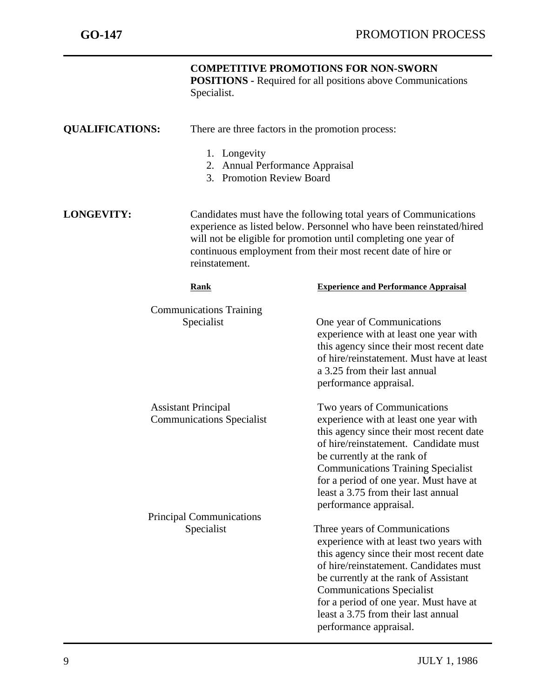|                                                                | Specialist.                                                                                                                                                                                                                                                                                   | <b>COMPETITIVE PROMOTIONS FOR NON-SWORN</b><br><b>POSITIONS</b> - Required for all positions above Communications                                                                                                                                                                                                                                      |  |  |
|----------------------------------------------------------------|-----------------------------------------------------------------------------------------------------------------------------------------------------------------------------------------------------------------------------------------------------------------------------------------------|--------------------------------------------------------------------------------------------------------------------------------------------------------------------------------------------------------------------------------------------------------------------------------------------------------------------------------------------------------|--|--|
| <b>QUALIFICATIONS:</b>                                         |                                                                                                                                                                                                                                                                                               | There are three factors in the promotion process:                                                                                                                                                                                                                                                                                                      |  |  |
|                                                                | 1. Longevity<br>2. Annual Performance Appraisal<br>3. Promotion Review Board                                                                                                                                                                                                                  |                                                                                                                                                                                                                                                                                                                                                        |  |  |
| <b>LONGEVITY:</b>                                              | Candidates must have the following total years of Communications<br>experience as listed below. Personnel who have been reinstated/hired<br>will not be eligible for promotion until completing one year of<br>continuous employment from their most recent date of hire or<br>reinstatement. |                                                                                                                                                                                                                                                                                                                                                        |  |  |
|                                                                | <b>Rank</b>                                                                                                                                                                                                                                                                                   | <b>Experience and Performance Appraisal</b>                                                                                                                                                                                                                                                                                                            |  |  |
| <b>Communications Training</b><br>Specialist                   |                                                                                                                                                                                                                                                                                               | One year of Communications<br>experience with at least one year with<br>this agency since their most recent date<br>of hire/reinstatement. Must have at least<br>a 3.25 from their last annual<br>performance appraisal.                                                                                                                               |  |  |
| <b>Assistant Principal</b><br><b>Communications Specialist</b> |                                                                                                                                                                                                                                                                                               | Two years of Communications<br>experience with at least one year with<br>this agency since their most recent date<br>of hire/reinstatement. Candidate must<br>be currently at the rank of<br><b>Communications Training Specialist</b><br>for a period of one year. Must have at<br>least a 3.75 from their last annual<br>performance appraisal.      |  |  |
| <b>Principal Communications</b><br>Specialist                  |                                                                                                                                                                                                                                                                                               | Three years of Communications<br>experience with at least two years with<br>this agency since their most recent date<br>of hire/reinstatement. Candidates must<br>be currently at the rank of Assistant<br><b>Communications Specialist</b><br>for a period of one year. Must have at<br>least a 3.75 from their last annual<br>performance appraisal. |  |  |